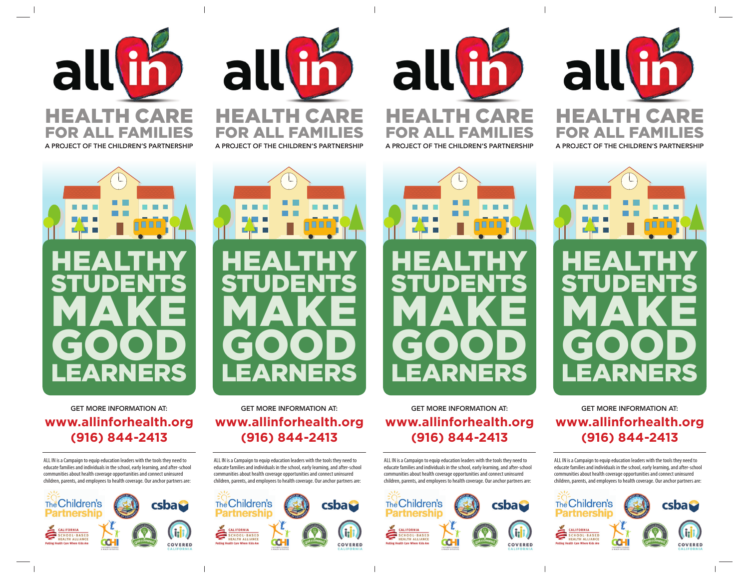



HEALTH CARE FOR ALL FAMILIES HEALTH CARE

FOR ALL FAMILIES





## GET MORE INFORMATION AT: **www.allinforhealth.org (916) 844-2413**

ALL IN is a Campaign to equip education leaders with the tools they need to educate families and individuals in the school, early learning, and after-school communities about health coverage opportunities and connect uninsured children, parents, and employees to health coverage. Our anchor partners are:





# GET MORE INFORMATION AT: **www.allinforhealth.org (916) 844-2413**

ALL IN is a Campaign to equip education leaders with the tools they need to educate families and individuals in the school, early learning, and after-school communities about health coverage opportunities and connect uninsured children, parents, and employees to health coverage. Our anchor partners are:





# GET MORE INFORMATION AT: **www.allinforhealth.org (916) 844-2413**

ALL IN is a Campaign to equip education leaders with the tools they need to educate families and individuals in the school, early learning, and after-school communities about health coverage opportunities and connect uninsured children, parents, and employees to health coverage. Our anchor partners are:







GET MORE INFORMATION AT: **www.allinforhealth.org (916) 844-2413**

ALL IN is a Campaign to equip education leaders with the tools they need to educate families and individuals in the school, early learning, and after-school communities about health coverage opportunities and connect uninsured children, parents, and employees to health coverage. Our anchor partners are:

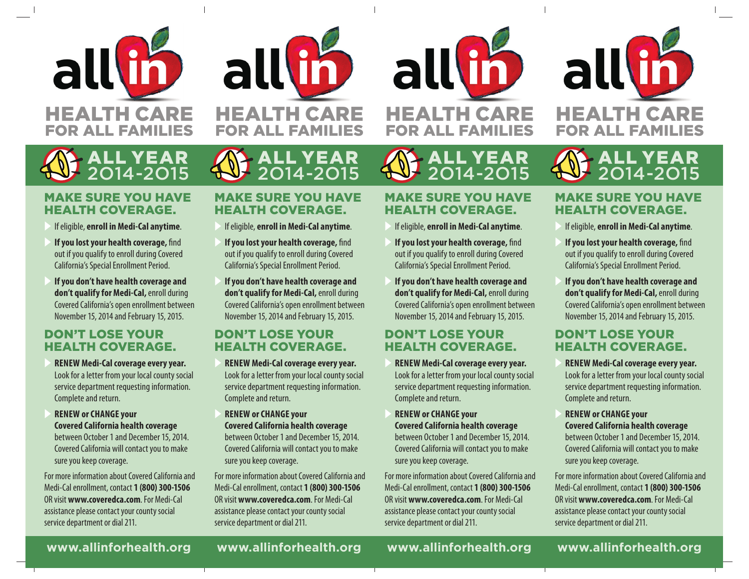



FOR ALL FAMILIES



FOR ALL FAMILIES



HEALTH CARE FOR ALL FAMILIES



## MAKE SURE YOU HAVE HEALTH COVERAGE.

- E If eligible, **enroll in Medi-Cal anytime**.
- E **If you lost your health coverage,** find out if you qualify to enroll during Covered California's Special Enrollment Period.
- E **If you don't have health coverage and don't qualify for Medi-Cal,** enroll during Covered California's open enrollment between November 15, 2014 and February 15, 2015.

## DON'T LOSE YOUR HEALTH COVERAGE.

E **RENEW Medi-Cal coverage every year.**  Look for a letter from your local county social service department requesting information. Complete and return.

E **RENEW or CHANGE your Covered California health coverage**  between October 1 and December 15, 2014. Covered California will contact you to make

For more information about Covered California and Medi-Cal enrollment, contact **1 (800) 300-1506**  OR visit **www.coveredca.com**. For Medi-Cal assistance please contact your county social service department or dial 211.

т

## MAKE SURE YOU HAVE HEALTH COVERAGE.

E If eligible, **enroll in Medi-Cal anytime**.

**If you lost your health coverage, find** out if you qualify to enroll during Covered California's Special Enrollment Period.

E **If you don't have health coverage and don't qualify for Medi-Cal,** enroll during Covered California's open enrollment between November 15, 2014 and February 15, 2015.

## DON'T LOSE YOUR HEALTH COVERAGE.

- E **RENEW Medi-Cal coverage every year.**  Look for a letter from your local county social service department requesting information. Complete and return.
- E **RENEW or CHANGE your Covered California health coverage**  between October 1 and December 15, 2014. Covered California will contact you to make sure you keep coverage.

For more information about Covered California and Medi-Cal enrollment, contact **1 (800) 300-1506**  OR visit **www.coveredca.com**. For Medi-Cal assistance please contact your county social service department or dial 211.

MAKE SURE YOU HAVE HEALTH COVERAGE.

E If eligible, **enroll in Medi-Cal anytime**.

L YEAR.

2O14-2O15

- **If you lost your health coverage, find** out if you qualify to enroll during Covered California's Special Enrollment Period.
- E **If you don't have health coverage and don't qualify for Medi-Cal,** enroll during Covered California's open enrollment between November 15, 2014 and February 15, 2015.

# DON'T LOSE YOUR HEALTH COVERAGE.

- E **RENEW Medi-Cal coverage every year.**  Look for a letter from your local county social service department requesting information. Complete and return.
- E **RENEW or CHANGE your Covered California health coverage**

between October 1 and December 15, 2014. Covered California will contact you to make sure you keep coverage.

For more information about Covered California and Medi-Cal enrollment, contact **1 (800) 300-1506**  OR visit **www.coveredca.com**. For Medi-Cal assistance please contact your county social service department or dial 211.

т

**www.allinforhealth.org www.allinforhealth.org www.allinforhealth.org www.allinforhealth.org**

т

sure you keep coverage.

ALL YEAR 2O14-2O15

- 
- E **If you lost your health coverage,** find out if you qualify to enroll during Covered California's Special Enrollment Period.

MAKE SURE YOU HAVE HEALTH COVERAGE. E If eligible, **enroll in Medi-Cal anytime**.

L YEAR.

2O14-2O15

E **If you don't have health coverage and don't qualify for Medi-Cal,** enroll during Covered California's open enrollment between November 15, 2014 and February 15, 2015.

# DON'T LOSE YOUR HEALTH COVERAGE.

- E **RENEW Medi-Cal coverage every year.**  Look for a letter from your local county social service department requesting information. Complete and return.
- E **RENEW or CHANGE your Covered California health coverage**  between October 1 and December 15, 2014. Covered California will contact you to make sure you keep coverage.

For more information about Covered California and Medi-Cal enrollment, contact **1 (800) 300-1506**  OR visit **www.coveredca.com**. For Medi-Cal assistance please contact your county social service department or dial 211.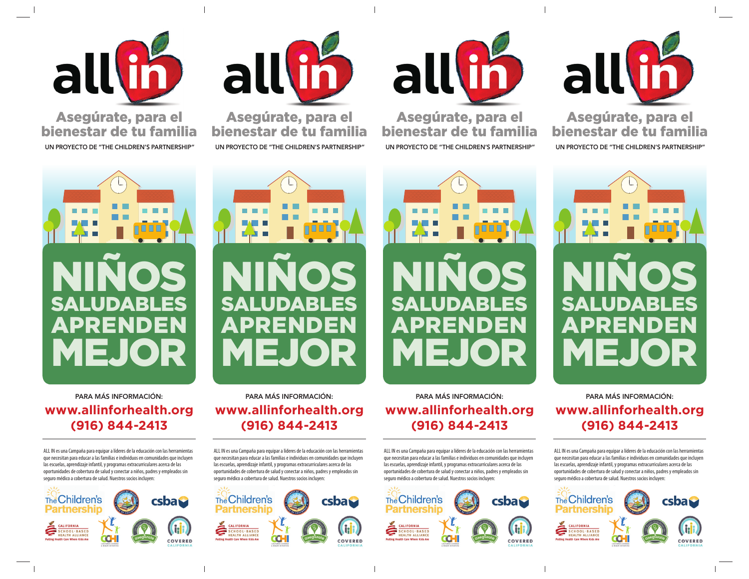

UN PROYECTO DE "THE CHILDREN'S PARTNERSHIP" Asegúrate, para el bienestar de tu familia



UN PROYECTO DE "THE CHILDREN'S PARTNERSHIP" Asegúrate, para el bienestar de tu familia



UN PROYECTO DE "THE CHILDREN'S PARTNERSHIP" Asegúrate, para el bienestar de tu familia



UN PROYECTO DE "THE CHILDREN'S PARTNERSHIP" Asegúrate, para el bienestar de tu familia



## PARA MÁS INFORMACIÓN: **www.allinforhealth.org (916) 844-2413**

ALL IN es una Campaña para equipar a líderes de la educación con las herramientas que necesitan para educar a las familias e individuos en comunidades que incluyen las escuelas, aprendizaje infantil, y programas extracurriculares acerca de las oportunidades de cobertura de salud y conectar a niños, padres y empleados sin seguro médico a cobertura de salud. Nuestros socios incluyen:







ALL IN es una Campaña para equipar a líderes de la educación con las herramientas que necesitan para educar a las familias e individuos en comunidades que incluyen las escuelas, aprendizaje infantil, y programas extracurriculares acerca de las oportunidades de cobertura de salud y conectar a niños, padres y empleados sin seguro médico a cobertura de salud. Nuestros socios incluyen:





PARA MÁS INFORMACIÓN: **www.allinforhealth.org (916) 844-2413**

ALL IN es una Campaña para equipar a líderes de la educación con las herramientas que necesitan para educar a las familias e individuos en comunidades que incluyen las escuelas, aprendizaje infantil, y programas extracurriculares acerca de las oportunidades de cobertura de salud y conectar a niños, padres y empleados sin seguro médico a cobertura de salud. Nuestros socios incluyen:





PARA MÁS INFORMACIÓN: **www.allinforhealth.org (916) 844-2413**

ALL IN es una Campaña para equipar a líderes de la educación con las herramientas que necesitan para educar a las familias e individuos en comunidades que incluyen las escuelas, aprendizaje infantil, y programas extracurriculares acerca de las oportunidades de cobertura de salud y conectar a niños, padres y empleados sin seguro médico a cobertura de salud. Nuestros socios incluyen: